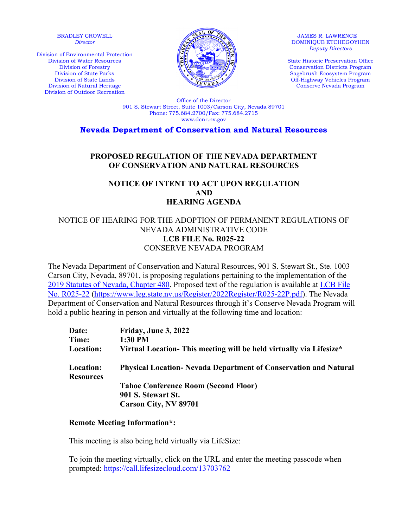#### BRADLEY CROWELL *Director*

Division of Environmental Protection Division of Water Resources Division of Forestry Division of State Parks Division of State Lands Division of Natural Heritage Division of Outdoor Recreation



JAMES R. LAWRENCE DOMINIQUE ETCHEGOYHEN *Deputy Directors* 

State Historic Preservation Office Conservation Districts Program Sagebrush Ecosystem Program Off-Highway Vehicles Program Conserve Nevada Program

Office of the Director 901 S. Stewart Street, Suite 1003/Carson City, Nevada 89701 Phone: 775.684.2700/Fax: 775.684.2715 www.dcnr.nv.gov

**Nevada Department of Conservation and Natural Resources**

# **PROPOSED REGULATION OF THE NEVADA DEPARTMENT OF CONSERVATION AND NATURAL RESOURCES**

## **NOTICE OF INTENT TO ACT UPON REGULATION AND HEARING AGENDA**

## NOTICE OF HEARING FOR THE ADOPTION OF PERMANENT REGULATIONS OF NEVADA ADMINISTRATIVE CODE **LCB FILE No. R025-22**  CONSERVE NEVADA PROGRAM

The Nevada Department of Conservation and Natural Resources, 901 S. Stewart St., Ste. 1003 Carson City, Nevada, 89701, is proposing regulations pertaining to the implementation of the [2019 Statutes of Nevada, Chapter 480.](https://www.leg.state.nv.us/Statutes/80th2019/Stats201917.html#Stats201917_CH480) Proposed text of the regulation is available at LCB File [No. R025-22 \(https://www.leg.state.nv.us/Register/2022Register/R025-22P.pdf\)](https://www.leg.state.nv.us/Register/2022Register/R025-22P.pdf). The Nevada Department of Conservation and Natural Resources through it's Conserve Nevada Program will hold a public hearing in person and virtually at the following time and location:

| Date:                                | Friday, June 3, 2022                                                   |
|--------------------------------------|------------------------------------------------------------------------|
| Time:                                | 1:30 PM                                                                |
| <b>Location:</b>                     | Virtual Location- This meeting will be held virtually via Lifesize*    |
| <b>Location:</b><br><b>Resources</b> | <b>Physical Location-Nevada Department of Conservation and Natural</b> |
|                                      | <b>Tahoe Conference Room (Second Floor)</b>                            |
|                                      | 901 S. Stewart St.                                                     |
|                                      | Carson City, NV 89701                                                  |

#### **Remote Meeting Information\*:**

This meeting is also being held virtually via LifeSize:

To join the meeting virtually, click on the URL and enter the meeting passcode when prompted:<https://call.lifesizecloud.com/13703762>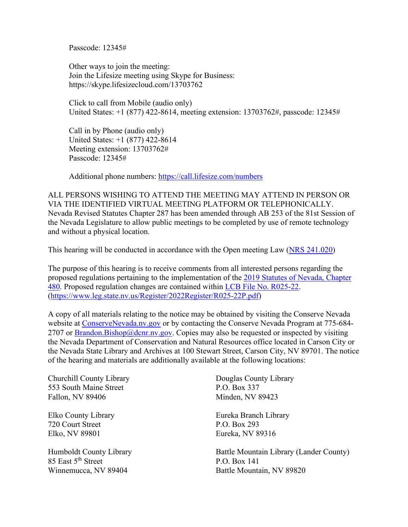Passcode: 12345#

Other ways to join the meeting: Join the Lifesize meeting using Skype for Business: https://skype.lifesizecloud.com/13703762

Click to call from Mobile (audio only) United States: +1 (877) 422-8614, meeting extension: 13703762#, passcode: 12345#

Call in by Phone (audio only) United States: +1 (877) 422-8614 Meeting extension: 13703762# Passcode: 12345#

Additional phone numbers:<https://call.lifesize.com/numbers>

ALL PERSONS WISHING TO ATTEND THE MEETING MAY ATTEND IN PERSON OR VIA THE IDENTIFIED VIRTUAL MEETING PLATFORM OR TELEPHONICALLY. Nevada Revised Statutes Chapter 287 has been amended through AB 253 of the 81st Session of the Nevada Legislature to allow public meetings to be completed by use of remote technology and without a physical location.

This hearing will be conducted in accordance with the Open meeting Law [\(NRS 241.020\)](https://www.leg.state.nv.us/nrs/nrs-241.html)

The purpose of this hearing is to receive comments from all interested persons regarding the proposed regulations pertaining to the implementation of the [2019 Statutes of Nevada, Chapter](https://www.leg.state.nv.us/Statutes/80th2019/Stats201917.html#Stats201917_CH480)  [480.](https://www.leg.state.nv.us/Statutes/80th2019/Stats201917.html#Stats201917_CH480) Proposed regulation changes are contained within LCB [File No. R025-22.](https://www.leg.state.nv.us/Register/2022Register/R025-22P.pdf) [\(https://www.leg.state.nv.us/Register/2022Register/R025-22P.pdf\)](https://www.leg.state.nv.us/Register/2022Register/R025-22P.pdf)

A copy of all materials relating to the notice may be obtained by visiting the Conserve Nevada website at [ConserveNevada.nv.gov](http://dcnr.nv.gov/divisions-boards/conserve-nevada) or by contacting the Conserve Nevada Program at 775-684- 2707 or [Brandon.Bishop@dcnr.nv.gov.](mailto:Brandon.Bishop@dcnr.nv.gov) Copies may also be requested or inspected by visiting the Nevada Department of Conservation and Natural Resources office located in Carson City or the Nevada State Library and Archives at 100 Stewart Street, Carson City, NV 89701. The notice of the hearing and materials are additionally available at the following locations:

Churchill County Library Douglas County Library 553 South Maine Street P.O. Box 337 Fallon, NV 89406 Minden, NV 89423

720 Court Street P.O. Box 293 Elko, NV 89801 Eureka, NV 89316

85 East 5<sup>th</sup> Street P.O. Box 141

Elko County Library Eureka Branch Library

Humboldt County Library Battle Mountain Library (Lander County) Winnemucca, NV 89404 Battle Mountain, NV 89820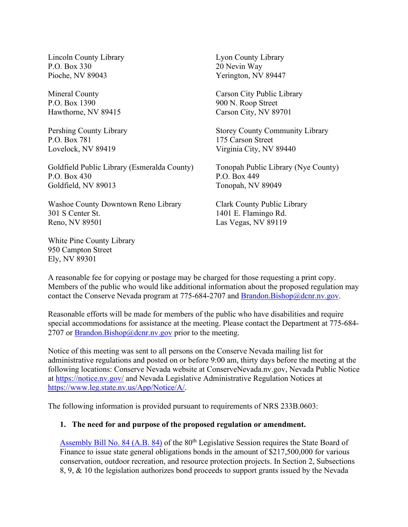Lincoln County Library Lyon County Library P.O. Box 330 20 Nevin Way Pioche, NV 89043 Yerington, NV 89447

P.O. Box 1390 900 N. Roop Street

P.O. Box 781 175 Carson Street

Goldfield Public Library (Esmeralda County) Tonopah Public Library (Nye County) P.O. Box 430 P.O. Box 449 Goldfield, NV 89013 Tonopah, NV 89049

Washoe County Downtown Reno Library Clark County Public Library 301 S Center St. 1401 E. Flamingo Rd. Reno, NV 89501 Las Vegas, NV 89119

White Pine County Library 950 Campton Street Ely, NV 89301

Mineral County Carson City Public Library Hawthorne, NV 89415 Carson City, NV 89701

Pershing County Library Storey County Community Library Lovelock, NV 89419 Virginia City, NV 89440

A reasonable fee for copying or postage may be charged for those requesting a print copy. Members of the public who would like additional information about the proposed regulation may contact the Conserve Nevada program at 775-684-2707 and [Brandon.Bishop@dcnr.nv.gov.](mailto:Brandon.Bishop@dcnr.nv.gov)

Reasonable efforts will be made for members of the public who have disabilities and require special accommodations for assistance at the meeting. Please contact the Department at 775-684- 2707 or  $\frac{B \cdot \text{random}}{B \cdot \text{ishop}(\mathcal{Q}) \cdot \text{d} \cdot \text{c} \cdot \text{two}}$  prior to the meeting.

Notice of this meeting was sent to all persons on the Conserve Nevada mailing list for administrative regulations and posted on or before 9:00 am, thirty days before the meeting at the following locations: Conserve Nevada website at ConserveNevada.nv.gov, Nevada Public Notice at<https://notice.nv.gov/> and Nevada Legislative Administrative Regulation Notices at [https://www.leg.state.nv.us/App/Notice/A/.](https://www.leg.state.nv.us/App/Notice/A/)

The following information is provided pursuant to requirements of NRS 233B.0603:

#### **1. The need for and purpose of the proposed regulation or amendment.**

[Assembly Bill No. 84 \(A.B. 84\)](https://www.leg.state.nv.us/App/NELIS/REL/80th2019/Bill/6040/Text) of the 80<sup>th</sup> Legislative Session requires the State Board of Finance to issue state general obligations bonds in the amount of \$217,500,000 for various conservation, outdoor recreation, and resource protection projects. In Section 2, Subsections 8, 9, & 10 the legislation authorizes bond proceeds to support grants issued by the Nevada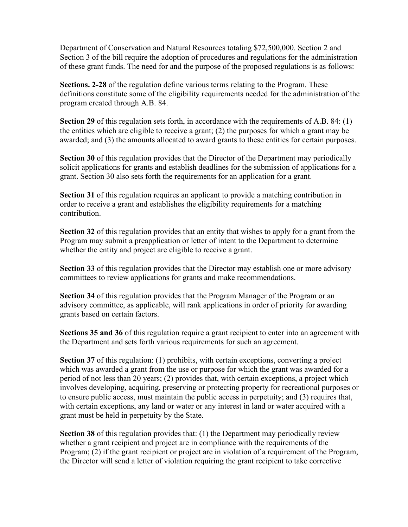Department of Conservation and Natural Resources totaling \$72,500,000. Section 2 and Section 3 of the bill require the adoption of procedures and regulations for the administration of these grant funds. The need for and the purpose of the proposed regulations is as follows:

**Sections. 2-28** of the regulation define various terms relating to the Program. These definitions constitute some of the eligibility requirements needed for the administration of the program created through A.B. 84.

**Section 29** of this regulation sets forth, in accordance with the requirements of A.B. 84: (1) the entities which are eligible to receive a grant; (2) the purposes for which a grant may be awarded; and (3) the amounts allocated to award grants to these entities for certain purposes.

**Section 30** of this regulation provides that the Director of the Department may periodically solicit applications for grants and establish deadlines for the submission of applications for a grant. Section 30 also sets forth the requirements for an application for a grant.

**Section 31** of this regulation requires an applicant to provide a matching contribution in order to receive a grant and establishes the eligibility requirements for a matching contribution.

**Section 32** of this regulation provides that an entity that wishes to apply for a grant from the Program may submit a preapplication or letter of intent to the Department to determine whether the entity and project are eligible to receive a grant.

**Section 33** of this regulation provides that the Director may establish one or more advisory committees to review applications for grants and make recommendations.

**Section 34** of this regulation provides that the Program Manager of the Program or an advisory committee, as applicable, will rank applications in order of priority for awarding grants based on certain factors.

**Sections 35 and 36** of this regulation require a grant recipient to enter into an agreement with the Department and sets forth various requirements for such an agreement.

**Section 37** of this regulation: (1) prohibits, with certain exceptions, converting a project which was awarded a grant from the use or purpose for which the grant was awarded for a period of not less than 20 years; (2) provides that, with certain exceptions, a project which involves developing, acquiring, preserving or protecting property for recreational purposes or to ensure public access, must maintain the public access in perpetuity; and (3) requires that, with certain exceptions, any land or water or any interest in land or water acquired with a grant must be held in perpetuity by the State.

**Section 38** of this regulation provides that: (1) the Department may periodically review whether a grant recipient and project are in compliance with the requirements of the Program; (2) if the grant recipient or project are in violation of a requirement of the Program, the Director will send a letter of violation requiring the grant recipient to take corrective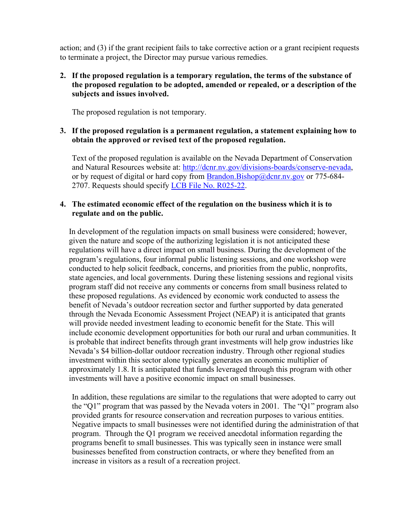action; and (3) if the grant recipient fails to take corrective action or a grant recipient requests to terminate a project, the Director may pursue various remedies.

## **2. If the proposed regulation is a temporary regulation, the terms of the substance of the proposed regulation to be adopted, amended or repealed, or a description of the subjects and issues involved.**

The proposed regulation is not temporary.

## **3. If the proposed regulation is a permanent regulation, a statement explaining how to obtain the approved or revised text of the proposed regulation.**

Text of the proposed regulation is available on the Nevada Department of Conservation and Natural Resources website at: [http://dcnr.nv.gov/divisions-boards/conserve-nevada,](http://dcnr.nv.gov/divisions-boards/conserve-nevada) or by request of digital or hard copy from [Brandon.Bishop@dcnr.nv.gov](mailto:Brandon.Bishop@dcnr.nv.gov) or 775-684-2707. Requests should specify [LCB File No. R025-22.](https://www.leg.state.nv.us/Register/2022Register/R025-22P.pdf)

## **4. The estimated economic effect of the regulation on the business which it is to regulate and on the public.**

In development of the regulation impacts on small business were considered; however, given the nature and scope of the authorizing legislation it is not anticipated these regulations will have a direct impact on small business. During the development of the program's regulations, four informal public listening sessions, and one workshop were conducted to help solicit feedback, concerns, and priorities from the public, nonprofits, state agencies, and local governments. During these listening sessions and regional visits program staff did not receive any comments or concerns from small business related to these proposed regulations. As evidenced by economic work conducted to assess the benefit of Nevada's outdoor recreation sector and further supported by data generated through the Nevada Economic Assessment Project (NEAP) it is anticipated that grants will provide needed investment leading to economic benefit for the State. This will include economic development opportunities for both our rural and urban communities. It is probable that indirect benefits through grant investments will help grow industries like Nevada's \$4 billion-dollar outdoor recreation industry. Through other regional studies investment within this sector alone typically generates an economic multiplier of approximately 1.8. It is anticipated that funds leveraged through this program with other investments will have a positive economic impact on small businesses.

In addition, these regulations are similar to the regulations that were adopted to carry out the "Q1" program that was passed by the Nevada voters in 2001. The "Q1" program also provided grants for resource conservation and recreation purposes to various entities. Negative impacts to small businesses were not identified during the administration of that program. Through the Q1 program we received anecdotal information regarding the programs benefit to small businesses. This was typically seen in instance were small businesses benefited from construction contracts, or where they benefited from an increase in visitors as a result of a recreation project.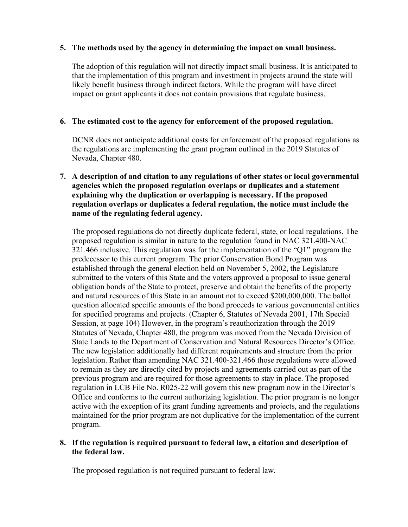## **5. The methods used by the agency in determining the impact on small business.**

The adoption of this regulation will not directly impact small business. It is anticipated to that the implementation of this program and investment in projects around the state will likely benefit business through indirect factors. While the program will have direct impact on grant applicants it does not contain provisions that regulate business.

## **6. The estimated cost to the agency for enforcement of the proposed regulation.**

DCNR does not anticipate additional costs for enforcement of the proposed regulations as the regulations are implementing the grant program outlined in the 2019 Statutes of Nevada, Chapter 480.

## **7. A description of and citation to any regulations of other states or local governmental agencies which the proposed regulation overlaps or duplicates and a statement explaining why the duplication or overlapping is necessary. If the proposed regulation overlaps or duplicates a federal regulation, the notice must include the name of the regulating federal agency.**

The proposed regulations do not directly duplicate federal, state, or local regulations. The proposed regulation is similar in nature to the regulation found in NAC 321.400-NAC 321.466 inclusive. This regulation was for the implementation of the "Q1" program the predecessor to this current program. The prior Conservation Bond Program was established through the general election held on November 5, 2002, the Legislature submitted to the voters of this State and the voters approved a proposal to issue general obligation bonds of the State to protect, preserve and obtain the benefits of the property and natural resources of this State in an amount not to exceed \$200,000,000. The ballot question allocated specific amounts of the bond proceeds to various governmental entities for specified programs and projects. (Chapter 6, Statutes of Nevada 2001, 17th Special Session, at page 104) However, in the program's reauthorization through the 2019 Statutes of Nevada, Chapter 480, the program was moved from the Nevada Division of State Lands to the Department of Conservation and Natural Resources Director's Office. The new legislation additionally had different requirements and structure from the prior legislation. Rather than amending NAC 321.400-321.466 those regulations were allowed to remain as they are directly cited by projects and agreements carried out as part of the previous program and are required for those agreements to stay in place. The proposed regulation in LCB File No. R025-22 will govern this new program now in the Director's Office and conforms to the current authorizing legislation. The prior program is no longer active with the exception of its grant funding agreements and projects, and the regulations maintained for the prior program are not duplicative for the implementation of the current program.

## **8. If the regulation is required pursuant to federal law, a citation and description of the federal law.**

The proposed regulation is not required pursuant to federal law.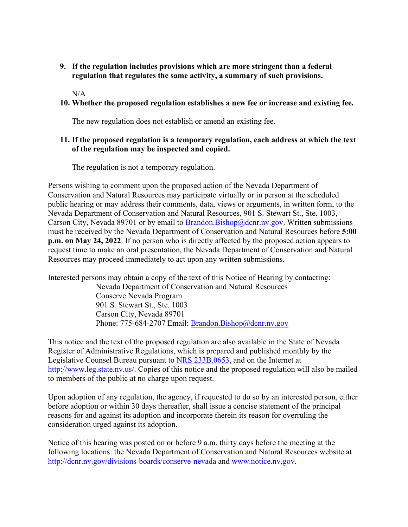**9. If the regulation includes provisions which are more stringent than a federal regulation that regulates the same activity, a summary of such provisions.** 

 $N/A$ 

#### **10. Whether the proposed regulation establishes a new fee or increase and existing fee.**

The new regulation does not establish or amend an existing fee.

## **11. If the proposed regulation is a temporary regulation, each address at which the text of the regulation may be inspected and copied.**

The regulation is not a temporary regulation.

Persons wishing to comment upon the proposed action of the Nevada Department of Conservation and Natural Resources may participate virtually or in person at the scheduled public hearing or may address their comments, data, views or arguments, in written form, to the Nevada Department of Conservation and Natural Resources, 901 S. Stewart St., Ste. 1003, Carson City, Nevada 89701 or by email to [Brandon.Bishop@dcnr.nv.gov.](mailto:Brandon.Bishop@dcnr.nv.gov) Written submissions must be received by the Nevada Department of Conservation and Natural Resources before **5:00 p.m. on May 24, 2022**. If no person who is directly affected by the proposed action appears to request time to make an oral presentation, the Nevada Department of Conservation and Natural Resources may proceed immediately to act upon any written submissions.

Interested persons may obtain a copy of the text of this Notice of Hearing by contacting:

Nevada Department of Conservation and Natural Resources Conserve Nevada Program 901 S. Stewart St., Ste. 1003 Carson City, Nevada 89701 Phone: 775-684-2707 Email: [Brandon.Bishop@dcnr.nv.gov](mailto:Brandon.Bishop@dcnr.nv.gov)

This notice and the text of the proposed regulation are also available in the State of Nevada Register of Administrative Regulations, which is prepared and published monthly by the Legislative Counsel Bureau pursuant to [NRS 233B.0653,](https://www.leg.state.nv.us/nrs/nrs-233b.html#NRS233BSec0653) and on the Internet at [http://www.leg.state.nv.us/.](http://www.leg.state.nv.us/) Copies of this notice and the proposed regulation will also be mailed to members of the public at no charge upon request.

Upon adoption of any regulation, the agency, if requested to do so by an interested person, either before adoption or within 30 days thereafter, shall issue a concise statement of the principal reasons for and against its adoption and incorporate therein its reason for overruling the consideration urged against its adoption.

Notice of this hearing was posted on or before 9 a.m. thirty days before the meeting at the following locations: the Nevada Department of Conservation and Natural Resources website at <http://dcnr.nv.gov/divisions-boards/conserve-nevada>and [www.notice.nv.gov.](http://www.notice.nv.gov/)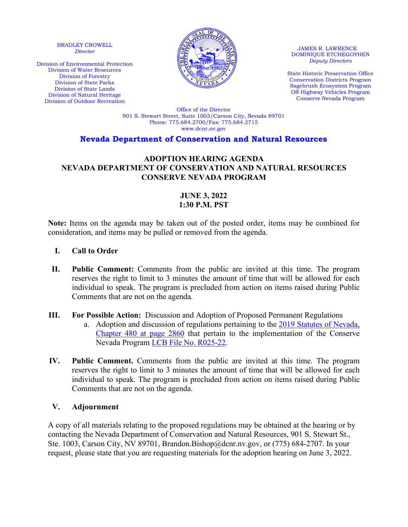BRADLEY CROWELL *Director*

Division of Environmental Protection Division of Water Resources Division of Forestry Division of State Parks Division of State Lands Division of Natural Heritage Division of Outdoor Recreation



JAMES R. LAWRENCE DOMINIQUE ETCHEGOYHEN *Deputy Directors* 

State Historic Preservation Office Conservation Districts Program Sagebrush Ecosystem Program Off-Highway Vehicles Program Conserve Nevada Program

Office of the Director 901 S. Stewart Street, Suite 1003/Carson City, Nevada 89701 Phone: 775.684.2700/Fax: 775.684.2715 www.dcnr.nv.gov

## **Nevada Department of Conservation and Natural Resources**

#### **ADOPTION HEARING AGENDA NEVADA DEPARTMENT OF CONSERVATION AND NATURAL RESOURCES CONSERVE NEVADA PROGRAM**

# **JUNE 3, 2022 1:30 P.M. PST**

**Note:** Items on the agenda may be taken out of the posted order, items may be combined for consideration, and items may be pulled or removed from the agenda.

## **I. Call to Order**

- **II. Public Comment:** Comments from the public are invited at this time. The program reserves the right to limit to 3 minutes the amount of time that will be allowed for each individual to speak. The program is precluded from action on items raised during Public Comments that are not on the agenda.
- **III. For Possible Action:** Discussion and Adoption of Proposed Permanent Regulations
	- a. Adoption and discussion of regulations pertaining to the [2019 Statutes of Nevada,](https://www.leg.state.nv.us/Statutes/80th2019/Stats201917.html#Stats201917_CH480)  Chapter [480 at page 2860](https://www.leg.state.nv.us/Statutes/80th2019/Stats201917.html#Stats201917_CH480) that pertain to the implementation of the Conserve Nevada Program [LCB File No. R025-22.](https://www.leg.state.nv.us/Register/2022Register/R025-22P.pdf)
- **IV. Public Comment.** Comments from the public are invited at this time. The program reserves the right to limit to 3 minutes the amount of time that will be allowed for each individual to speak. The program is precluded from action on items raised during Public Comments that are not on the agenda.

#### **V. Adjournment**

A copy of all materials relating to the proposed regulations may be obtained at the hearing or by contacting the Nevada Department of Conservation and Natural Resources, 901 S. Stewart St., Ste. 1003, Carson City, NV 89701, Brandon.Bishop@dcnr.nv.gov, or (775) 684-2707. In your request, please state that you are requesting materials for the adoption hearing on June 3, 2022.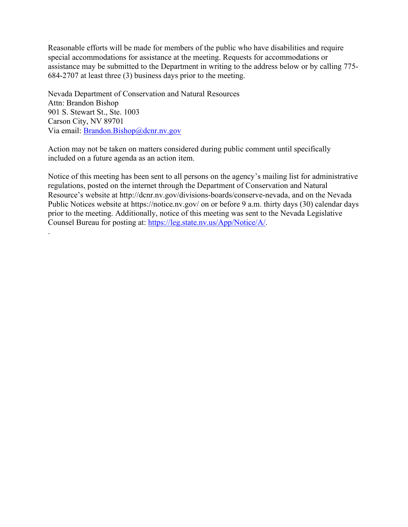Reasonable efforts will be made for members of the public who have disabilities and require special accommodations for assistance at the meeting. Requests for accommodations or assistance may be submitted to the Department in writing to the address below or by calling 775- 684-2707 at least three (3) business days prior to the meeting.

Nevada Department of Conservation and Natural Resources Attn: Brandon Bishop 901 S. Stewart St., Ste. 1003 Carson City, NV 89701 Via email: **Brandon.Bishop**@dcnr.nv.gov

.

Action may not be taken on matters considered during public comment until specifically included on a future agenda as an action item.

Notice of this meeting has been sent to all persons on the agency's mailing list for administrative regulations, posted on the internet through the Department of Conservation and Natural Resource's website at http://dcnr.nv.gov/divisions-boards/conserve-nevada, and on the Nevada Public Notices website at https://notice.nv.gov/ on or before 9 a.m. thirty days (30) calendar days prior to the meeting. Additionally, notice of this meeting was sent to the Nevada Legislative Counsel Bureau for posting at: [https://leg.state.nv.us/App/Notice/A/.](https://leg.state.nv.us/App/Notice/A/)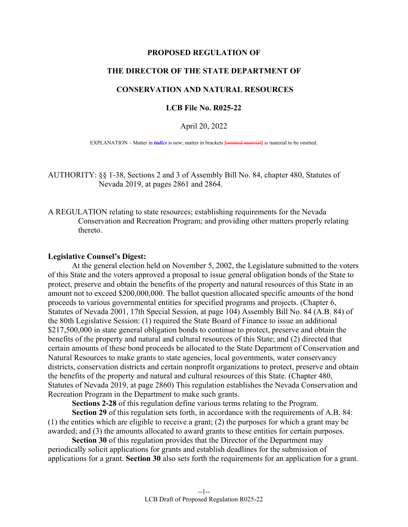#### **PROPOSED REGULATION OF**

#### **THE DIRECTOR OF THE STATE DEPARTMENT OF**

#### **CONSERVATION AND NATURAL RESOURCES**

#### **LCB File No. R025-22**

#### April 20, 2022

EXPLANATION – Matter in *italics* is new; matter in brackets **[**omitted material**]** is material to be omitted.

AUTHORITY: §§ 1-38, Sections 2 and 3 of Assembly Bill No. 84, chapter 480, Statutes of Nevada 2019, at pages 2861 and 2864.

A REGULATION relating to state resources; establishing requirements for the Nevada Conservation and Recreation Program; and providing other matters properly relating thereto.

#### **Legislative Counsel's Digest:**

 At the general election held on November 5, 2002, the Legislature submitted to the voters of this State and the voters approved a proposal to issue general obligation bonds of the State to protect, preserve and obtain the benefits of the property and natural resources of this State in an amount not to exceed \$200,000,000. The ballot question allocated specific amounts of the bond proceeds to various governmental entities for specified programs and projects. (Chapter 6, Statutes of Nevada 2001, 17th Special Session, at page 104) Assembly Bill No. 84 (A.B. 84) of the 80th Legislative Session: (1) required the State Board of Finance to issue an additional \$217,500,000 in state general obligation bonds to continue to protect, preserve and obtain the benefits of the property and natural and cultural resources of this State; and (2) directed that certain amounts of these bond proceeds be allocated to the State Department of Conservation and Natural Resources to make grants to state agencies, local governments, water conservancy districts, conservation districts and certain nonprofit organizations to protect, preserve and obtain the benefits of the property and natural and cultural resources of this State. (Chapter 480, Statutes of Nevada 2019, at page 2860) This regulation establishes the Nevada Conservation and Recreation Program in the Department to make such grants.

**Sections 2-28** of this regulation define various terms relating to the Program.

**Section 29** of this regulation sets forth, in accordance with the requirements of A.B. 84: (1) the entities which are eligible to receive a grant; (2) the purposes for which a grant may be awarded; and (3) the amounts allocated to award grants to these entities for certain purposes.

**Section 30** of this regulation provides that the Director of the Department may periodically solicit applications for grants and establish deadlines for the submission of applications for a grant. **Section 30** also sets forth the requirements for an application for a grant.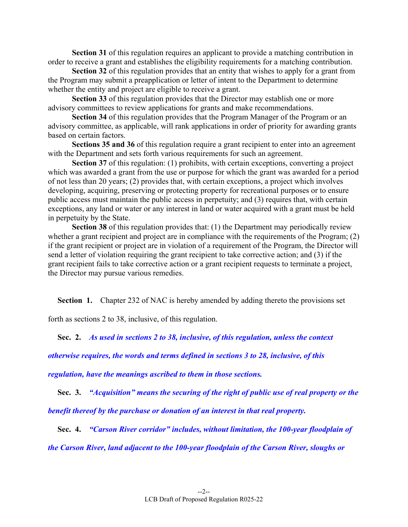**Section 31** of this regulation requires an applicant to provide a matching contribution in order to receive a grant and establishes the eligibility requirements for a matching contribution.

**Section 32** of this regulation provides that an entity that wishes to apply for a grant from the Program may submit a preapplication or letter of intent to the Department to determine whether the entity and project are eligible to receive a grant.

**Section 33** of this regulation provides that the Director may establish one or more advisory committees to review applications for grants and make recommendations.

**Section 34** of this regulation provides that the Program Manager of the Program or an advisory committee, as applicable, will rank applications in order of priority for awarding grants based on certain factors.

**Sections 35 and 36** of this regulation require a grant recipient to enter into an agreement with the Department and sets forth various requirements for such an agreement.

**Section 37** of this regulation: (1) prohibits, with certain exceptions, converting a project which was awarded a grant from the use or purpose for which the grant was awarded for a period of not less than 20 years; (2) provides that, with certain exceptions, a project which involves developing, acquiring, preserving or protecting property for recreational purposes or to ensure public access must maintain the public access in perpetuity; and (3) requires that, with certain exceptions, any land or water or any interest in land or water acquired with a grant must be held in perpetuity by the State.

**Section 38** of this regulation provides that: (1) the Department may periodically review whether a grant recipient and project are in compliance with the requirements of the Program; (2) if the grant recipient or project are in violation of a requirement of the Program, the Director will send a letter of violation requiring the grant recipient to take corrective action; and (3) if the grant recipient fails to take corrective action or a grant recipient requests to terminate a project, the Director may pursue various remedies.

**Section 1.** Chapter 232 of NAC is hereby amended by adding thereto the provisions set

forth as sections 2 to 38, inclusive, of this regulation.

 **Sec. 2.** *As used in sections 2 to 38, inclusive, of this regulation, unless the context* 

*otherwise requires, the words and terms defined in sections 3 to 28, inclusive, of this* 

*regulation, have the meanings ascribed to them in those sections.* 

 **Sec. 3.** *"Acquisition" means the securing of the right of public use of real property or the* 

*benefit thereof by the purchase or donation of an interest in that real property.* 

 **Sec. 4.** *"Carson River corridor" includes, without limitation, the 100-year floodplain of* 

*the Carson River, land adjacent to the 100-year floodplain of the Carson River, sloughs or*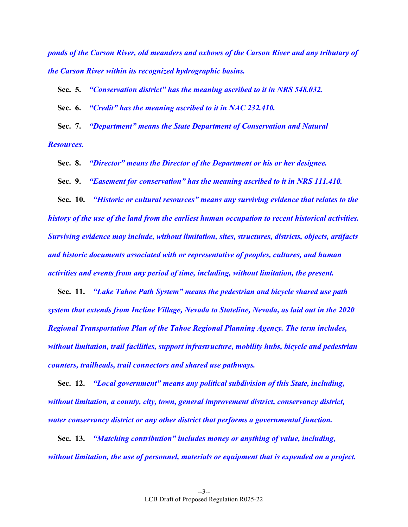*ponds of the Carson River, old meanders and oxbows of the Carson River and any tributary of the Carson River within its recognized hydrographic basins.* 

 **Sec. 5.** *"Conservation district" has the meaning ascribed to it in NRS 548.032.* 

 **Sec. 6.** *"Credit" has the meaning ascribed to it in NAC 232.410.* 

 **Sec. 7.** *"Department" means the State Department of Conservation and Natural Resources.*

 **Sec. 8.** *"Director" means the Director of the Department or his or her designee.* 

 **Sec. 9.** *"Easement for conservation" has the meaning ascribed to it in NRS 111.410.* 

 **Sec. 10.** *"Historic or cultural resources" means any surviving evidence that relates to the history of the use of the land from the earliest human occupation to recent historical activities. Surviving evidence may include, without limitation, sites, structures, districts, objects, artifacts and historic documents associated with or representative of peoples, cultures, and human activities and events from any period of time, including, without limitation, the present.* 

 **Sec. 11.** *"Lake Tahoe Path System" means the pedestrian and bicycle shared use path system that extends from Incline Village, Nevada to Stateline, Nevada, as laid out in the 2020 Regional Transportation Plan of the Tahoe Regional Planning Agency. The term includes, without limitation, trail facilities, support infrastructure, mobility hubs, bicycle and pedestrian counters, trailheads, trail connectors and shared use pathways.* 

 **Sec. 12.** *"Local government" means any political subdivision of this State, including, without limitation, a county, city, town, general improvement district, conservancy district, water conservancy district or any other district that performs a governmental function.* 

 **Sec. 13.** *"Matching contribution" includes money or anything of value, including, without limitation, the use of personnel, materials or equipment that is expended on a project.*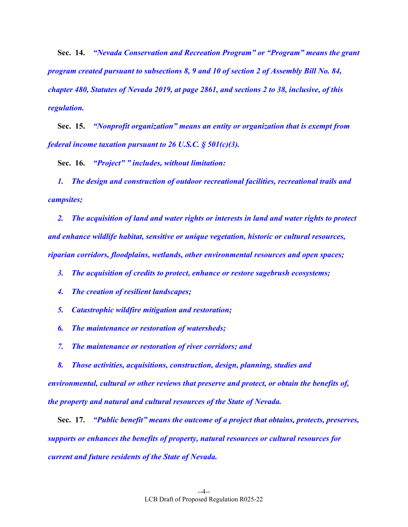**Sec. 14.** *"Nevada Conservation and Recreation Program" or "Program" means the grant program created pursuant to subsections 8, 9 and 10 of section 2 of Assembly Bill No. 84, chapter 480, Statutes of Nevada 2019, at page 2861, and sections 2 to 38, inclusive, of this regulation.* 

 **Sec. 15.** *"Nonprofit organization" means an entity or organization that is exempt from federal income taxation pursuant to 26 U.S.C. § 501(c)(3).* 

 **Sec. 16.** *"Project" " includes, without limitation:* 

 *1. The design and construction of outdoor recreational facilities, recreational trails and campsites;* 

 *2. The acquisition of land and water rights or interests in land and water rights to protect and enhance wildlife habitat, sensitive or unique vegetation, historic or cultural resources, riparian corridors, floodplains, wetlands, other environmental resources and open spaces;* 

 *3. The acquisition of credits to protect, enhance or restore sagebrush ecosystems;* 

 *4. The creation of resilient landscapes;* 

 *5. Catastrophic wildfire mitigation and restoration;* 

 *6. The maintenance or restoration of watersheds;* 

 *7. The maintenance or restoration of river corridors; and* 

 *8. Those activities, acquisitions, construction, design, planning, studies and environmental, cultural or other reviews that preserve and protect, or obtain the benefits of, the property and natural and cultural resources of the State of Nevada.* 

 **Sec. 17.** *"Public benefit" means the outcome of a project that obtains, protects, preserves, supports or enhances the benefits of property, natural resources or cultural resources for current and future residents of the State of Nevada.*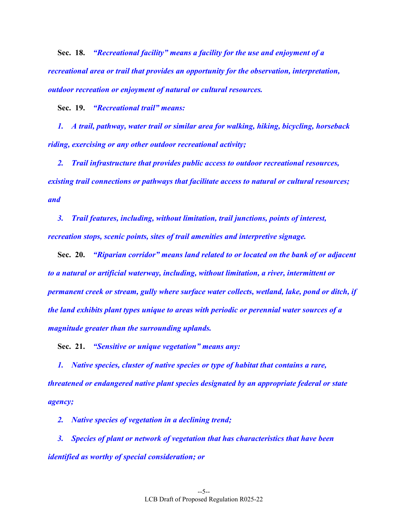**Sec. 18.** *"Recreational facility" means a facility for the use and enjoyment of a recreational area or trail that provides an opportunity for the observation, interpretation, outdoor recreation or enjoyment of natural or cultural resources.* 

 **Sec. 19.** *"Recreational trail" means:* 

 *1. A trail, pathway, water trail or similar area for walking, hiking, bicycling, horseback riding, exercising or any other outdoor recreational activity;* 

 *2. Trail infrastructure that provides public access to outdoor recreational resources, existing trail connections or pathways that facilitate access to natural or cultural resources; and* 

 *3. Trail features, including, without limitation, trail junctions, points of interest, recreation stops, scenic points, sites of trail amenities and interpretive signage.* 

 **Sec. 20.** *"Riparian corridor" means land related to or located on the bank of or adjacent to a natural or artificial waterway, including, without limitation, a river, intermittent or permanent creek or stream, gully where surface water collects, wetland, lake, pond or ditch, if the land exhibits plant types unique to areas with periodic or perennial water sources of a magnitude greater than the surrounding uplands.* 

 **Sec. 21.** *"Sensitive or unique vegetation" means any:* 

 *1. Native species, cluster of native species or type of habitat that contains a rare, threatened or endangered native plant species designated by an appropriate federal or state agency;* 

 *2. Native species of vegetation in a declining trend;* 

 *3. Species of plant or network of vegetation that has characteristics that have been identified as worthy of special consideration; or*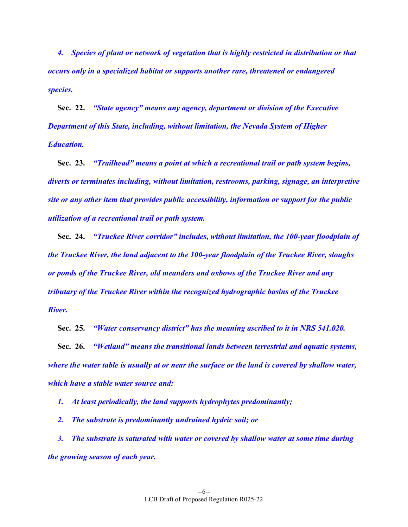*4. Species of plant or network of vegetation that is highly restricted in distribution or that occurs only in a specialized habitat or supports another rare, threatened or endangered species.* 

 **Sec. 22.** *"State agency" means any agency, department or division of the Executive Department of this State, including, without limitation, the Nevada System of Higher Education.* 

 **Sec. 23.** *"Trailhead" means a point at which a recreational trail or path system begins, diverts or terminates including, without limitation, restrooms, parking, signage, an interpretive site or any other item that provides public accessibility, information or support for the public utilization of a recreational trail or path system.* 

 **Sec. 24.** *"Truckee River corridor" includes, without limitation, the 100-year floodplain of the Truckee River, the land adjacent to the 100-year floodplain of the Truckee River, sloughs or ponds of the Truckee River, old meanders and oxbows of the Truckee River and any tributary of the Truckee River within the recognized hydrographic basins of the Truckee River.* 

 **Sec. 25.** *"Water conservancy district" has the meaning ascribed to it in NRS 541.020.* 

 **Sec. 26.** *"Wetland" means the transitional lands between terrestrial and aquatic systems, where the water table is usually at or near the surface or the land is covered by shallow water, which have a stable water source and:* 

*1. At least periodically, the land supports hydrophytes predominantly;* 

 *2. The substrate is predominantly undrained hydric soil; or* 

 *3. The substrate is saturated with water or covered by shallow water at some time during the growing season of each year.*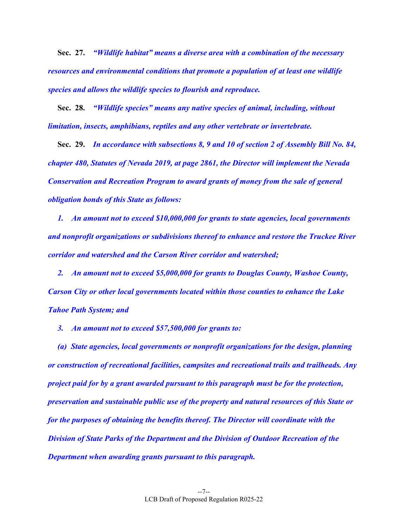**Sec. 27.** *"Wildlife habitat" means a diverse area with a combination of the necessary resources and environmental conditions that promote a population of at least one wildlife species and allows the wildlife species to flourish and reproduce.* 

 **Sec. 28.** *"Wildlife species" means any native species of animal, including, without limitation, insects, amphibians, reptiles and any other vertebrate or invertebrate.* 

 **Sec. 29.** *In accordance with subsections 8, 9 and 10 of section 2 of Assembly Bill No. 84, chapter 480, Statutes of Nevada 2019, at page 2861, the Director will implement the Nevada Conservation and Recreation Program to award grants of money from the sale of general obligation bonds of this State as follows:* 

 *1. An amount not to exceed \$10,000,000 for grants to state agencies, local governments and nonprofit organizations or subdivisions thereof to enhance and restore the Truckee River corridor and watershed and the Carson River corridor and watershed;* 

 *2. An amount not to exceed \$5,000,000 for grants to Douglas County, Washoe County, Carson City or other local governments located within those counties to enhance the Lake Tahoe Path System; and* 

 *3. An amount not to exceed \$57,500,000 for grants to:* 

 *(a) State agencies, local governments or nonprofit organizations for the design, planning or construction of recreational facilities, campsites and recreational trails and trailheads. Any project paid for by a grant awarded pursuant to this paragraph must be for the protection, preservation and sustainable public use of the property and natural resources of this State or for the purposes of obtaining the benefits thereof. The Director will coordinate with the Division of State Parks of the Department and the Division of Outdoor Recreation of the Department when awarding grants pursuant to this paragraph.*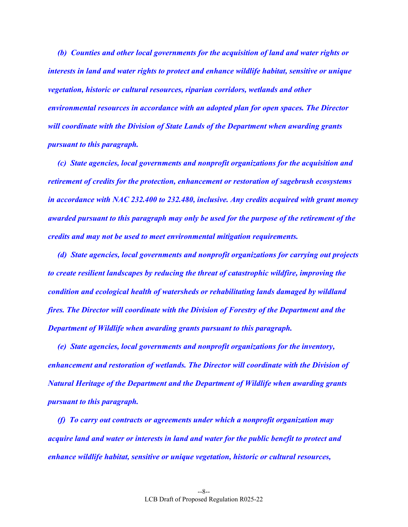*(b) Counties and other local governments for the acquisition of land and water rights or interests in land and water rights to protect and enhance wildlife habitat, sensitive or unique vegetation, historic or cultural resources, riparian corridors, wetlands and other environmental resources in accordance with an adopted plan for open spaces. The Director will coordinate with the Division of State Lands of the Department when awarding grants pursuant to this paragraph.* 

 *(c) State agencies, local governments and nonprofit organizations for the acquisition and retirement of credits for the protection, enhancement or restoration of sagebrush ecosystems in accordance with NAC 232.400 to 232.480, inclusive. Any credits acquired with grant money awarded pursuant to this paragraph may only be used for the purpose of the retirement of the credits and may not be used to meet environmental mitigation requirements.* 

 *(d) State agencies, local governments and nonprofit organizations for carrying out projects to create resilient landscapes by reducing the threat of catastrophic wildfire, improving the condition and ecological health of watersheds or rehabilitating lands damaged by wildland fires. The Director will coordinate with the Division of Forestry of the Department and the Department of Wildlife when awarding grants pursuant to this paragraph.* 

 *(e) State agencies, local governments and nonprofit organizations for the inventory, enhancement and restoration of wetlands. The Director will coordinate with the Division of Natural Heritage of the Department and the Department of Wildlife when awarding grants pursuant to this paragraph.* 

 *(f) To carry out contracts or agreements under which a nonprofit organization may acquire land and water or interests in land and water for the public benefit to protect and enhance wildlife habitat, sensitive or unique vegetation, historic or cultural resources,*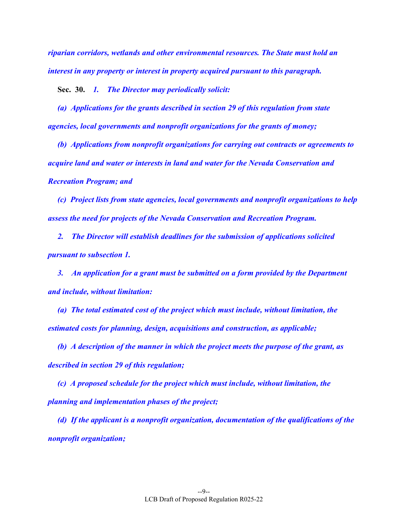*riparian corridors, wetlands and other environmental resources. The State must hold an interest in any property or interest in property acquired pursuant to this paragraph.* 

 **Sec. 30.** *1. The Director may periodically solicit:* 

 *(a) Applications for the grants described in section 29 of this regulation from state agencies, local governments and nonprofit organizations for the grants of money;* 

*(b) Applications from nonprofit organizations for carrying out contracts or agreements to acquire land and water or interests in land and water for the Nevada Conservation and Recreation Program; and* 

 *(c) Project lists from state agencies, local governments and nonprofit organizations to help assess the need for projects of the Nevada Conservation and Recreation Program.* 

*2. The Director will establish deadlines for the submission of applications solicited pursuant to subsection 1.* 

*3. An application for a grant must be submitted on a form provided by the Department and include, without limitation:* 

 *(a) The total estimated cost of the project which must include, without limitation, the estimated costs for planning, design, acquisitions and construction, as applicable;* 

 *(b) A description of the manner in which the project meets the purpose of the grant, as described in section 29 of this regulation;* 

 *(c) A proposed schedule for the project which must include, without limitation, the planning and implementation phases of the project;* 

 *(d) If the applicant is a nonprofit organization, documentation of the qualifications of the nonprofit organization;*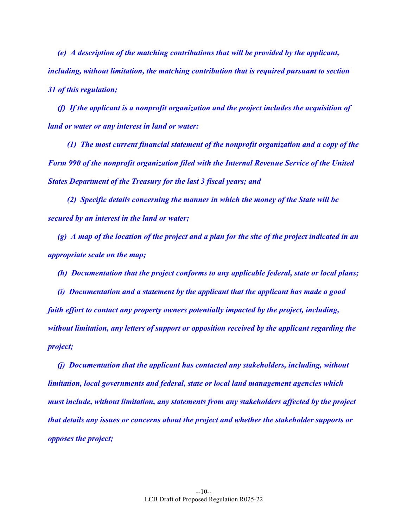*(e) A description of the matching contributions that will be provided by the applicant, including, without limitation, the matching contribution that is required pursuant to section 31 of this regulation;* 

 *(f) If the applicant is a nonprofit organization and the project includes the acquisition of land or water or any interest in land or water:* 

 *(1) The most current financial statement of the nonprofit organization and a copy of the Form 990 of the nonprofit organization filed with the Internal Revenue Service of the United States Department of the Treasury for the last 3 fiscal years; and* 

 *(2) Specific details concerning the manner in which the money of the State will be secured by an interest in the land or water;* 

 *(g) A map of the location of the project and a plan for the site of the project indicated in an appropriate scale on the map;* 

 *(h) Documentation that the project conforms to any applicable federal, state or local plans;* 

 *(i) Documentation and a statement by the applicant that the applicant has made a good faith effort to contact any property owners potentially impacted by the project, including, without limitation, any letters of support or opposition received by the applicant regarding the project;* 

 *(j) Documentation that the applicant has contacted any stakeholders, including, without limitation, local governments and federal, state or local land management agencies which must include, without limitation, any statements from any stakeholders affected by the project that details any issues or concerns about the project and whether the stakeholder supports or opposes the project;*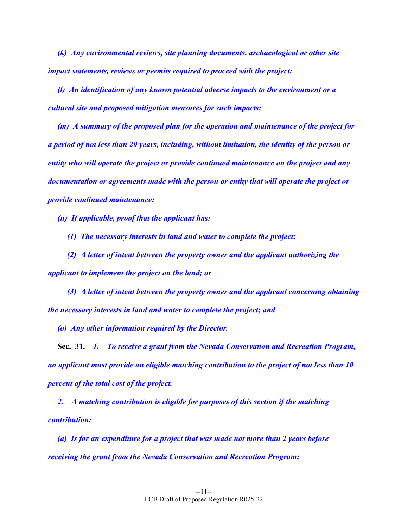*(k) Any environmental reviews, site planning documents, archaeological or other site impact statements, reviews or permits required to proceed with the project;* 

 *(l) An identification of any known potential adverse impacts to the environment or a cultural site and proposed mitigation measures for such impacts;* 

 *(m) A summary of the proposed plan for the operation and maintenance of the project for a period of not less than 20 years, including, without limitation, the identity of the person or entity who will operate the project or provide continued maintenance on the project and any documentation or agreements made with the person or entity that will operate the project or provide continued maintenance;* 

 *(n) If applicable, proof that the applicant has:* 

 *(1) The necessary interests in land and water to complete the project;* 

 *(2) A letter of intent between the property owner and the applicant authorizing the applicant to implement the project on the land; or* 

 *(3) A letter of intent between the property owner and the applicant concerning obtaining the necessary interests in land and water to complete the project; and* 

 *(o) Any other information required by the Director.* 

 **Sec. 31.** *1. To receive a grant from the Nevada Conservation and Recreation Program, an applicant must provide an eligible matching contribution to the project of not less than 10 percent of the total cost of the project.* 

 *2. A matching contribution is eligible for purposes of this section if the matching contribution:* 

 *(a) Is for an expenditure for a project that was made not more than 2 years before receiving the grant from the Nevada Conservation and Recreation Program;*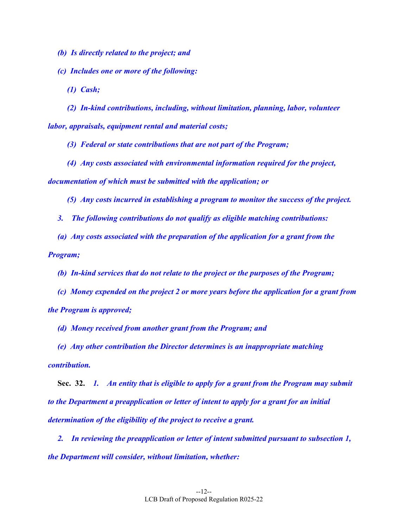*(b) Is directly related to the project; and* 

 *(c) Includes one or more of the following:* 

 *(1) Cash;* 

 *(2) In-kind contributions, including, without limitation, planning, labor, volunteer labor, appraisals, equipment rental and material costs;* 

 *(3) Federal or state contributions that are not part of the Program;* 

 *(4) Any costs associated with environmental information required for the project, documentation of which must be submitted with the application; or* 

 *(5) Any costs incurred in establishing a program to monitor the success of the project.* 

 *3. The following contributions do not qualify as eligible matching contributions:* 

 *(a) Any costs associated with the preparation of the application for a grant from the Program;* 

 *(b) In-kind services that do not relate to the project or the purposes of the Program;* 

 *(c) Money expended on the project 2 or more years before the application for a grant from the Program is approved;* 

 *(d) Money received from another grant from the Program; and* 

 *(e) Any other contribution the Director determines is an inappropriate matching contribution.* 

 **Sec. 32.** *1. An entity that is eligible to apply for a grant from the Program may submit to the Department a preapplication or letter of intent to apply for a grant for an initial determination of the eligibility of the project to receive a grant.* 

 *2. In reviewing the preapplication or letter of intent submitted pursuant to subsection 1, the Department will consider, without limitation, whether:*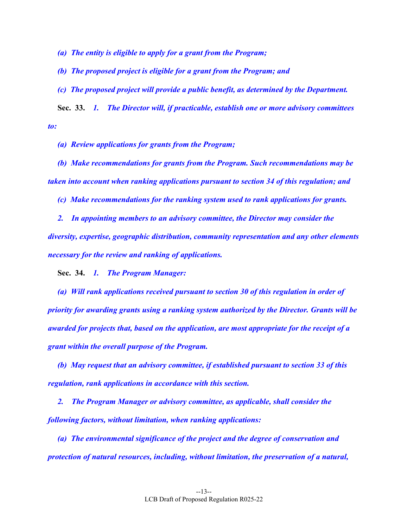*(a) The entity is eligible to apply for a grant from the Program;* 

 *(b) The proposed project is eligible for a grant from the Program; and* 

 *(c) The proposed project will provide a public benefit, as determined by the Department.* 

 **Sec. 33.** *1. The Director will, if practicable, establish one or more advisory committees to:* 

 *(a) Review applications for grants from the Program;* 

 *(b) Make recommendations for grants from the Program. Such recommendations may be taken into account when ranking applications pursuant to section 34 of this regulation; and* 

 *(c) Make recommendations for the ranking system used to rank applications for grants.* 

 *2. In appointing members to an advisory committee, the Director may consider the diversity, expertise, geographic distribution, community representation and any other elements necessary for the review and ranking of applications.* 

 **Sec. 34.** *1. The Program Manager:* 

 *(a) Will rank applications received pursuant to section 30 of this regulation in order of priority for awarding grants using a ranking system authorized by the Director. Grants will be awarded for projects that, based on the application, are most appropriate for the receipt of a grant within the overall purpose of the Program.* 

 *(b) May request that an advisory committee, if established pursuant to section 33 of this regulation, rank applications in accordance with this section.* 

 *2. The Program Manager or advisory committee, as applicable, shall consider the following factors, without limitation, when ranking applications:* 

 *(a) The environmental significance of the project and the degree of conservation and protection of natural resources, including, without limitation, the preservation of a natural,*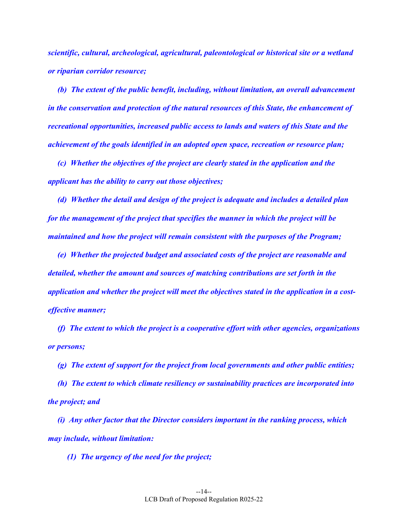*scientific, cultural, archeological, agricultural, paleontological or historical site or a wetland or riparian corridor resource;* 

 *(b) The extent of the public benefit, including, without limitation, an overall advancement in the conservation and protection of the natural resources of this State, the enhancement of recreational opportunities, increased public access to lands and waters of this State and the achievement of the goals identified in an adopted open space, recreation or resource plan;* 

 *(c) Whether the objectives of the project are clearly stated in the application and the applicant has the ability to carry out those objectives;* 

 *(d) Whether the detail and design of the project is adequate and includes a detailed plan for the management of the project that specifies the manner in which the project will be maintained and how the project will remain consistent with the purposes of the Program;* 

 *(e) Whether the projected budget and associated costs of the project are reasonable and detailed, whether the amount and sources of matching contributions are set forth in the application and whether the project will meet the objectives stated in the application in a costeffective manner;* 

 *(f) The extent to which the project is a cooperative effort with other agencies, organizations or persons;* 

 *(g) The extent of support for the project from local governments and other public entities;* 

 *(h) The extent to which climate resiliency or sustainability practices are incorporated into the project; and* 

 *(i) Any other factor that the Director considers important in the ranking process, which may include, without limitation:* 

 *(1) The urgency of the need for the project;*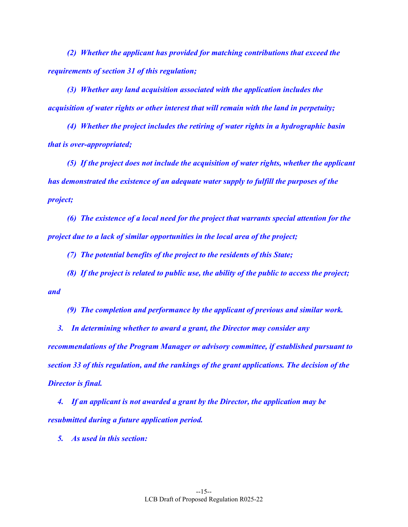*(2) Whether the applicant has provided for matching contributions that exceed the requirements of section 31 of this regulation;* 

 *(3) Whether any land acquisition associated with the application includes the acquisition of water rights or other interest that will remain with the land in perpetuity;* 

 *(4) Whether the project includes the retiring of water rights in a hydrographic basin that is over-appropriated;* 

 *(5) If the project does not include the acquisition of water rights, whether the applicant has demonstrated the existence of an adequate water supply to fulfill the purposes of the project;* 

 *(6) The existence of a local need for the project that warrants special attention for the project due to a lack of similar opportunities in the local area of the project;* 

 *(7) The potential benefits of the project to the residents of this State;* 

 *(8) If the project is related to public use, the ability of the public to access the project; and* 

 *(9) The completion and performance by the applicant of previous and similar work.* 

 *3. In determining whether to award a grant, the Director may consider any recommendations of the Program Manager or advisory committee, if established pursuant to section 33 of this regulation, and the rankings of the grant applications. The decision of the Director is final.* 

 *4. If an applicant is not awarded a grant by the Director, the application may be resubmitted during a future application period.* 

 *5. As used in this section:*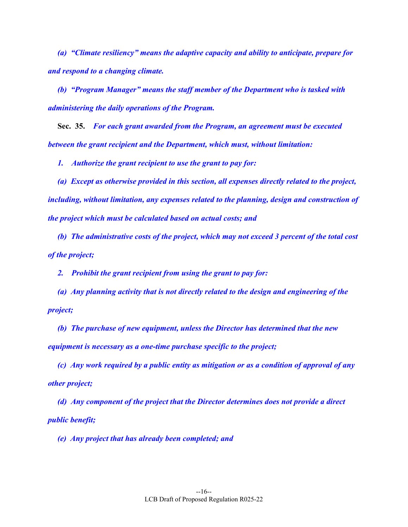*(a) "Climate resiliency" means the adaptive capacity and ability to anticipate, prepare for and respond to a changing climate.* 

 *(b) "Program Manager" means the staff member of the Department who is tasked with administering the daily operations of the Program.* 

 **Sec. 35.** *For each grant awarded from the Program, an agreement must be executed between the grant recipient and the Department, which must, without limitation:* 

 *1. Authorize the grant recipient to use the grant to pay for:* 

 *(a) Except as otherwise provided in this section, all expenses directly related to the project, including, without limitation, any expenses related to the planning, design and construction of the project which must be calculated based on actual costs; and* 

 *(b) The administrative costs of the project, which may not exceed 3 percent of the total cost of the project;* 

 *2. Prohibit the grant recipient from using the grant to pay for:* 

 *(a) Any planning activity that is not directly related to the design and engineering of the project;* 

 *(b) The purchase of new equipment, unless the Director has determined that the new equipment is necessary as a one-time purchase specific to the project;* 

 *(c) Any work required by a public entity as mitigation or as a condition of approval of any other project;* 

 *(d) Any component of the project that the Director determines does not provide a direct public benefit;* 

 *(e) Any project that has already been completed; and*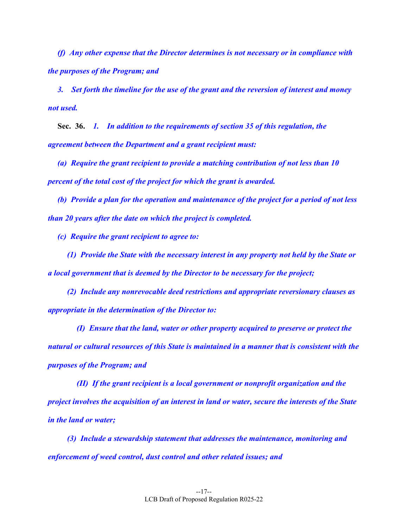*(f) Any other expense that the Director determines is not necessary or in compliance with the purposes of the Program; and* 

 *3. Set forth the timeline for the use of the grant and the reversion of interest and money not used.* 

 **Sec. 36.** *1. In addition to the requirements of section 35 of this regulation, the agreement between the Department and a grant recipient must:* 

 *(a) Require the grant recipient to provide a matching contribution of not less than 10 percent of the total cost of the project for which the grant is awarded.* 

 *(b) Provide a plan for the operation and maintenance of the project for a period of not less than 20 years after the date on which the project is completed.* 

 *(c) Require the grant recipient to agree to:* 

 *(1) Provide the State with the necessary interest in any property not held by the State or a local government that is deemed by the Director to be necessary for the project;* 

 *(2) Include any nonrevocable deed restrictions and appropriate reversionary clauses as appropriate in the determination of the Director to:* 

 *(I) Ensure that the land, water or other property acquired to preserve or protect the natural or cultural resources of this State is maintained in a manner that is consistent with the purposes of the Program; and* 

 *(II) If the grant recipient is a local government or nonprofit organization and the project involves the acquisition of an interest in land or water, secure the interests of the State in the land or water;* 

 *(3) Include a stewardship statement that addresses the maintenance, monitoring and enforcement of weed control, dust control and other related issues; and*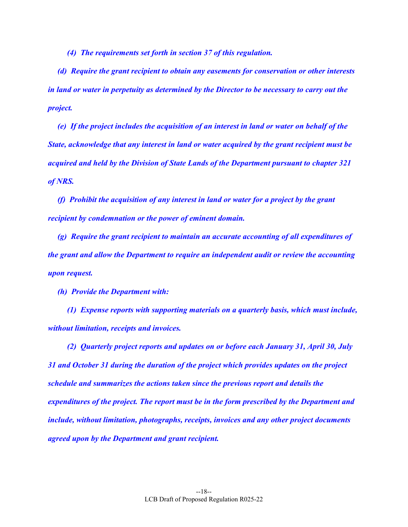*(4) The requirements set forth in section 37 of this regulation.* 

 *(d) Require the grant recipient to obtain any easements for conservation or other interests in land or water in perpetuity as determined by the Director to be necessary to carry out the project.* 

 *(e) If the project includes the acquisition of an interest in land or water on behalf of the State, acknowledge that any interest in land or water acquired by the grant recipient must be acquired and held by the Division of State Lands of the Department pursuant to chapter 321 of NRS.* 

 *(f) Prohibit the acquisition of any interest in land or water for a project by the grant recipient by condemnation or the power of eminent domain.* 

 *(g) Require the grant recipient to maintain an accurate accounting of all expenditures of the grant and allow the Department to require an independent audit or review the accounting upon request.* 

 *(h) Provide the Department with:* 

 *(1) Expense reports with supporting materials on a quarterly basis, which must include, without limitation, receipts and invoices.* 

 *(2) Quarterly project reports and updates on or before each January 31, April 30, July 31 and October 31 during the duration of the project which provides updates on the project schedule and summarizes the actions taken since the previous report and details the expenditures of the project. The report must be in the form prescribed by the Department and include, without limitation, photographs, receipts, invoices and any other project documents agreed upon by the Department and grant recipient.*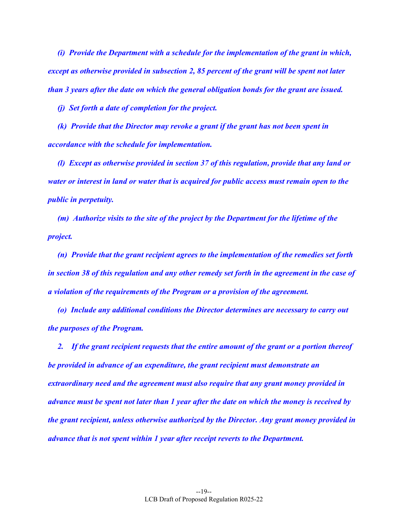*(i) Provide the Department with a schedule for the implementation of the grant in which, except as otherwise provided in subsection 2, 85 percent of the grant will be spent not later than 3 years after the date on which the general obligation bonds for the grant are issued.* 

 *(j) Set forth a date of completion for the project.* 

 *(k) Provide that the Director may revoke a grant if the grant has not been spent in accordance with the schedule for implementation.* 

 *(l) Except as otherwise provided in section 37 of this regulation, provide that any land or water or interest in land or water that is acquired for public access must remain open to the public in perpetuity.* 

 *(m) Authorize visits to the site of the project by the Department for the lifetime of the project.* 

 *(n) Provide that the grant recipient agrees to the implementation of the remedies set forth in section 38 of this regulation and any other remedy set forth in the agreement in the case of a violation of the requirements of the Program or a provision of the agreement.* 

 *(o) Include any additional conditions the Director determines are necessary to carry out the purposes of the Program.* 

 *2. If the grant recipient requests that the entire amount of the grant or a portion thereof be provided in advance of an expenditure, the grant recipient must demonstrate an extraordinary need and the agreement must also require that any grant money provided in advance must be spent not later than 1 year after the date on which the money is received by the grant recipient, unless otherwise authorized by the Director. Any grant money provided in advance that is not spent within 1 year after receipt reverts to the Department.*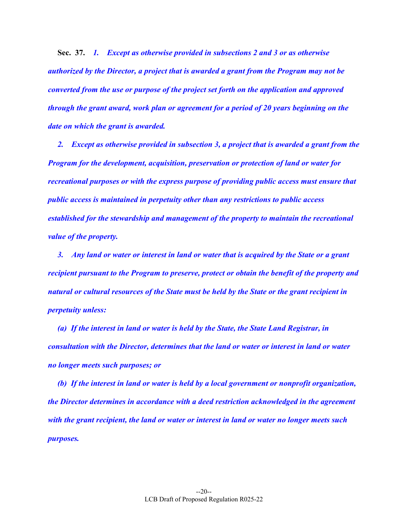**Sec. 37.** *1. Except as otherwise provided in subsections 2 and 3 or as otherwise authorized by the Director, a project that is awarded a grant from the Program may not be converted from the use or purpose of the project set forth on the application and approved through the grant award, work plan or agreement for a period of 20 years beginning on the date on which the grant is awarded.* 

 *2. Except as otherwise provided in subsection 3, a project that is awarded a grant from the Program for the development, acquisition, preservation or protection of land or water for recreational purposes or with the express purpose of providing public access must ensure that public access is maintained in perpetuity other than any restrictions to public access established for the stewardship and management of the property to maintain the recreational value of the property.* 

 *3. Any land or water or interest in land or water that is acquired by the State or a grant recipient pursuant to the Program to preserve, protect or obtain the benefit of the property and natural or cultural resources of the State must be held by the State or the grant recipient in perpetuity unless:* 

 *(a) If the interest in land or water is held by the State, the State Land Registrar, in consultation with the Director, determines that the land or water or interest in land or water no longer meets such purposes; or* 

 *(b) If the interest in land or water is held by a local government or nonprofit organization, the Director determines in accordance with a deed restriction acknowledged in the agreement with the grant recipient, the land or water or interest in land or water no longer meets such purposes.*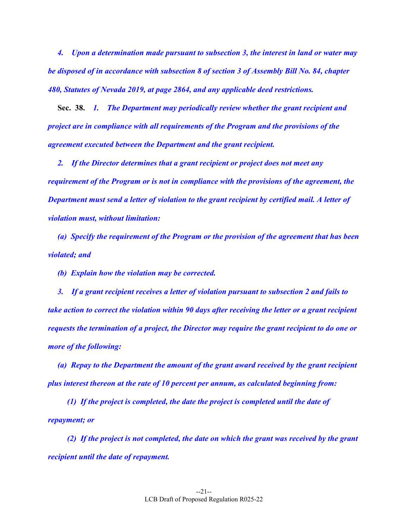*4. Upon a determination made pursuant to subsection 3, the interest in land or water may be disposed of in accordance with subsection 8 of section 3 of Assembly Bill No. 84, chapter 480, Statutes of Nevada 2019, at page 2864, and any applicable deed restrictions.* 

 **Sec. 38.** *1. The Department may periodically review whether the grant recipient and project are in compliance with all requirements of the Program and the provisions of the agreement executed between the Department and the grant recipient.* 

 *2. If the Director determines that a grant recipient or project does not meet any requirement of the Program or is not in compliance with the provisions of the agreement, the Department must send a letter of violation to the grant recipient by certified mail. A letter of violation must, without limitation:* 

 *(a) Specify the requirement of the Program or the provision of the agreement that has been violated; and* 

 *(b) Explain how the violation may be corrected.* 

 *3. If a grant recipient receives a letter of violation pursuant to subsection 2 and fails to take action to correct the violation within 90 days after receiving the letter or a grant recipient requests the termination of a project, the Director may require the grant recipient to do one or more of the following:* 

 *(a) Repay to the Department the amount of the grant award received by the grant recipient plus interest thereon at the rate of 10 percent per annum, as calculated beginning from:* 

 *(1) If the project is completed, the date the project is completed until the date of repayment; or* 

 *(2) If the project is not completed, the date on which the grant was received by the grant recipient until the date of repayment.*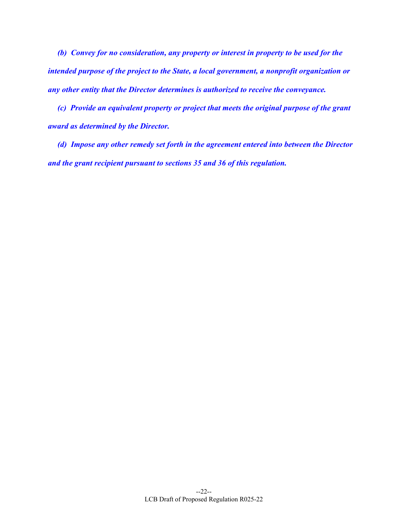*(b) Convey for no consideration, any property or interest in property to be used for the intended purpose of the project to the State, a local government, a nonprofit organization or any other entity that the Director determines is authorized to receive the conveyance.* 

 *(c) Provide an equivalent property or project that meets the original purpose of the grant award as determined by the Director.* 

 *(d) Impose any other remedy set forth in the agreement entered into between the Director and the grant recipient pursuant to sections 35 and 36 of this regulation.*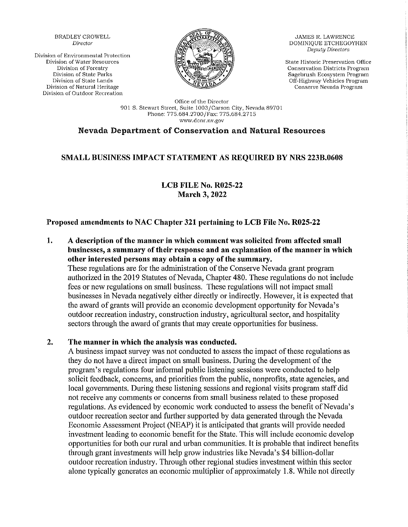**BRADLEY CROWELL** Director

Division of Environmental Protection Division of Water Resources Division of Forestry Division of State Parks Division of State Lands Division of Natural Heritage Division of Outdoor Recreation



**JAMES R. LAWRENCE** DOMINIOUE ETCHEGOYHEN **Deputy Directors** 

State Historic Preservation Office Conservation Districts Program Sagebrush Ecosystem Program Off-Highway Vehicles Program Conserve Nevada Program

Office of the Director 901 S. Stewart Street, Suite 1003/Carson City, Nevada 89701 Phone: 775.684.2700/Fax: 775.684.2715 www.dcnr.nv.gov

## **Nevada Department of Conservation and Natural Resources**

## **SMALL BUSINESS IMPACT STATEMENT AS REQUIRED BY NRS 223B.0608**

**LCB FILE No. R025-22 March 3, 2022** 

#### Proposed amendments to NAC Chapter 321 pertaining to LCB File No. R025-22

1. A description of the manner in which comment was solicited from affected small businesses, a summary of their response and an explanation of the manner in which other interested persons may obtain a copy of the summary.

These regulations are for the administration of the Conserve Nevada grant program authorized in the 2019 Statutes of Nevada, Chapter 480. These regulations do not include fees or new regulations on small business. These regulations will not impact small businesses in Nevada negatively either directly or indirectly. However, it is expected that the award of grants will provide an economic development opportunity for Nevada's outdoor recreation industry, construction industry, agricultural sector, and hospitality sectors through the award of grants that may create opportunities for business.

#### The manner in which the analysis was conducted.  $2.$

A business impact survey was not conducted to assess the impact of these regulations as they do not have a direct impact on small business. During the development of the program's regulations four informal public listening sessions were conducted to help solicit feedback, concerns, and priorities from the public, nonprofits, state agencies, and local governments. During these listening sessions and regional visits program staff did not receive any comments or concerns from small business related to these proposed regulations. As evidenced by economic work conducted to assess the benefit of Nevada's outdoor recreation sector and further supported by data generated through the Nevada Economic Assessment Project (NEAP) it is anticipated that grants will provide needed investment leading to economic benefit for the State. This will include economic develop opportunities for both our rural and urban communities. It is probable that indirect benefits through grant investments will help grow industries like Nevada's \$4 billion-dollar outdoor recreation industry. Through other regional studies investment within this sector alone typically generates an economic multiplier of approximately 1.8. While not directly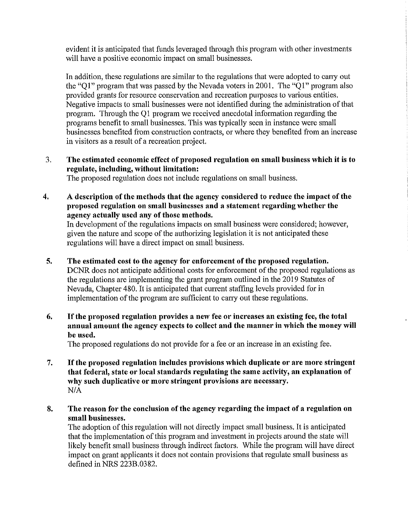evident it is anticipated that funds leveraged through this program with other investments will have a positive economic impact on small businesses.

In addition, these regulations are similar to the regulations that were adopted to carry out the "Q1" program that was passed by the Nevada voters in 2001. The "Q1" program also provided grants for resource conservation and recreation purposes to various entities. Negative impacts to small businesses were not identified during the administration of that program. Through the Q1 program we received anecdotal information regarding the programs benefit to small businesses. This was typically seen in instance were small businesses benefited from construction contracts, or where they benefited from an increase in visitors as a result of a recreation project.

The estimated economic effect of proposed regulation on small business which it is to 3. regulate, including, without limitation:

The proposed regulation does not include regulations on small business.

4. A description of the methods that the agency considered to reduce the impact of the proposed regulation on small businesses and a statement regarding whether the agency actually used any of those methods.

In development of the regulations impacts on small business were considered; however, given the nature and scope of the authorizing legislation it is not anticipated these regulations will have a direct impact on small business.

5. The estimated cost to the agency for enforcement of the proposed regulation.

DCNR does not anticipate additional costs for enforcement of the proposed regulations as the regulations are implementing the grant program outlined in the 2019 Statutes of Nevada, Chapter 480. It is anticipated that current staffing levels provided for in implementation of the program are sufficient to carry out these regulations.

If the proposed regulation provides a new fee or increases an existing fee, the total 6. annual amount the agency expects to collect and the manner in which the money will be used.

The proposed regulations do not provide for a fee or an increase in an existing fee.

- If the proposed regulation includes provisions which duplicate or are more stringent 7. that federal, state or local standards regulating the same activity, an explanation of why such duplicative or more stringent provisions are necessary.  $N/A$
- The reason for the conclusion of the agency regarding the impact of a regulation on 8. small businesses.

The adoption of this regulation will not directly impact small business. It is anticipated that the implementation of this program and investment in projects around the state will likely benefit small business through indirect factors. While the program will have direct impact on grant applicants it does not contain provisions that regulate small business as defined in NRS 223B.0382.